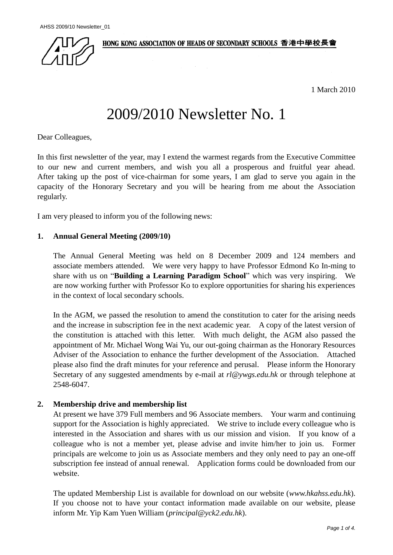HONG KONG ASSOCIATION OF HEADS OF SECONDARY SCHOOLS 香港中學校長會



1 March 2010

# 2009/2010 Newsletter No. 1

Dear Colleagues,

In this first newsletter of the year, may I extend the warmest regards from the Executive Committee to our new and current members, and wish you all a prosperous and fruitful year ahead. After taking up the post of vice-chairman for some years, I am glad to serve you again in the capacity of the Honorary Secretary and you will be hearing from me about the Association regularly.

I am very pleased to inform you of the following news:

# **1. Annual General Meeting (2009/10)**

The Annual General Meeting was held on 8 December 2009 and 124 members and associate members attended. We were very happy to have Professor Edmond Ko In-ming to share with us on "**Building a Learning Paradigm School**" which was very inspiring. are now working further with Professor Ko to explore opportunities for sharing his experiences in the context of local secondary schools.

In the AGM, we passed the resolution to amend the constitution to cater for the arising needs and the increase in subscription fee in the next academic year. A copy of the latest version of the constitution is attached with this letter. With much delight, the AGM also passed the appointment of Mr. Michael Wong Wai Yu, our out-going chairman as the Honorary Resources Adviser of the Association to enhance the further development of the Association. Attached please also find the draft minutes for your reference and perusal. Please inform the Honorary Secretary of any suggested amendments by e-mail at *[rl@ywgs.edu.hk](mailto:rl@ywgs.edu.hk)* or through telephone at 2548-6047.

# **2. Membership drive and membership list**

At present we have 379 Full members and 96 Associate members. Your warm and continuing support for the Association is highly appreciated. We strive to include every colleague who is interested in the Association and shares with us our mission and vision. If you know of a colleague who is not a member yet, please advise and invite him/her to join us. Former principals are welcome to join us as Associate members and they only need to pay an one-off subscription fee instead of annual renewal. Application forms could be downloaded from our website.

The updated Membership List is available for download on our website (*[www.hkahss.edu.hk](http://www.hkahss.edu.hk/)*). If you choose not to have your contact information made available on our website, please inform Mr. Yip Kam Yuen William (*[principal@yck2.edu.hk](mailto:hkahss@yck2.edu.hk)*).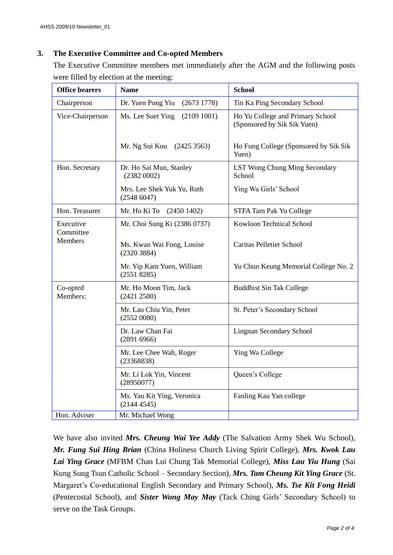# **3. The Executive Committee and Co-opted Members**

The Executive Committee members met immediately after the AGM and the following posts were filled by election at the meeting:

| <b>Office bearers</b>                    | <b>Name</b>                              | <b>School</b>                                                   |
|------------------------------------------|------------------------------------------|-----------------------------------------------------------------|
| Chairperson                              | Dr. Yuen Pong Yiu<br>(26731778)          | Tin Ka Ping Secondary School                                    |
| Vice-Chairperson                         | Ms. Lee Suet Ying<br>(2109 1001)         | Ho Yu College and Primary School<br>(Sponsored by Sik Sik Yuen) |
|                                          | Mr. Ng Sui Kou (2425 3563)               | Ho Fung College (Sponsored by Sik Sik<br>Yuen)                  |
| Hon. Secretary                           | Dr. Ho Sai Mun, Stanley<br>(23820002)    | LST Wong Chung Ming Secondary<br>School                         |
|                                          | Mrs. Lee Shek Yuk Yu, Ruth<br>(25486047) | Ying Wa Girls' School                                           |
| Hon. Treasurer                           | Mr. Ho Ki To<br>(24501402)               | STFA Tam Pak Yu College                                         |
| Executive<br>Committee<br><b>Members</b> | Mr. Choi Sung Ki (2386 0737)             | Kowloon Technical School                                        |
|                                          | Ms. Kwan Wai Fong, Louise<br>(2320 3884) | <b>Caritas Pelletier School</b>                                 |
|                                          | Mr. Yip Kam Yuen, William<br>(2551 8285) | Yu Chun Keung Memorial College No. 2                            |
| Co-opted<br>Members:                     | Mr. Ho Moon Tim, Jack<br>(2421 2580)     | <b>Buddhist Sin Tak College</b>                                 |
|                                          | Mr. Lau Chiu Yin, Peter<br>(25520080)    | St. Peter's Secondary School                                    |
|                                          | Dr. Law Chan Fai<br>(28916966)           | <b>Lingnan Secondary School</b>                                 |
|                                          | Mr. Lee Chee Wah, Roger<br>(23368838)    | Ying Wa College                                                 |
|                                          | Mr. Li Lok Yin, Vincent<br>(28950077)    | Queen's College                                                 |
|                                          | Ms. Yau Kit Ying, Veronica<br>(21444545) | Fanling Kau Yan college                                         |
| Hon. Adviser                             | Mr. Michael Wong                         |                                                                 |

We have also invited *Mrs. Cheung Wai Yee Addy* (The Salvation Army Shek Wu School), *Mr. Fung Sui Hing Brian* (China Holiness Church Living Spirit College), *Mrs. Kwok Lau Lai Ying Grace* (MFBM Chan Lui Chung Tak Memorial College), *Miss Lau Yiu Hung* (Sai Kung Sung Tsun Catholic School – Secondary Section), *Mrs. Tam Cheung Kit Ying Grace* (St. Margaret's Co-educational English Secondary and Primary School), *Ms. Tse Kit Fong Heidi*  (Pentecostal School), and *Sister Wong May May* (Tack Ching Girls' Secondary School) to serve on the Task Groups.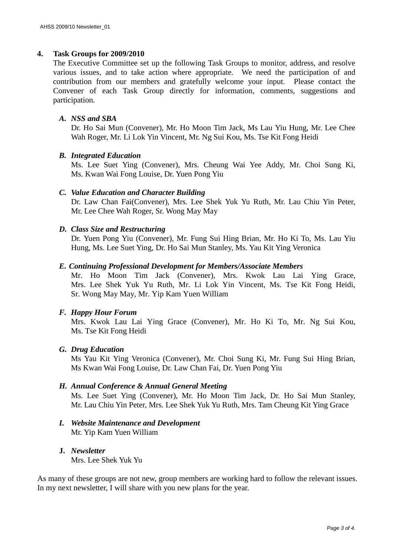### **4. Task Groups for 2009/2010**

The Executive Committee set up the following Task Groups to monitor, address, and resolve various issues, and to take action where appropriate. We need the participation of and contribution from our members and gratefully welcome your input. Please contact the Convener of each Task Group directly for information, comments, suggestions and participation.

### *A. NSS and SBA*

Dr. Ho Sai Mun (Convener), Mr. Ho Moon Tim Jack, Ms Lau Yiu Hung, Mr. Lee Chee Wah Roger, Mr. Li Lok Yin Vincent, Mr. Ng Sui Kou, Ms. Tse Kit Fong Heidi

#### *B. Integrated Education*

Ms. Lee Suet Ying (Convener), Mrs. Cheung Wai Yee Addy, Mr. Choi Sung Ki, Ms. Kwan Wai Fong Louise, Dr. Yuen Pong Yiu

# *C. Value Education and Character Building*

Dr. Law Chan Fai(Convener), Mrs. Lee Shek Yuk Yu Ruth, Mr. Lau Chiu Yin Peter, Mr. Lee Chee Wah Roger, Sr. Wong May May

# *D. Class Size and Restructuring*

Dr. Yuen Pong Yiu (Convener), Mr. Fung Sui Hing Brian, Mr. Ho Ki To, Ms. Lau Yiu Hung, Ms. Lee Suet Ying, Dr. Ho Sai Mun Stanley, Ms. Yau Kit Ying Veronica

#### *E. Continuing Professional Development for Members/Associate Members*

Mr. Ho Moon Tim Jack (Convener), Mrs. Kwok Lau Lai Ying Grace, Mrs. Lee Shek Yuk Yu Ruth, Mr. Li Lok Yin Vincent, Ms. Tse Kit Fong Heidi, Sr. Wong May May, Mr. Yip Kam Yuen William

#### *F. Happy Hour Forum*

Mrs. Kwok Lau Lai Ying Grace (Convener), Mr. Ho Ki To, Mr. Ng Sui Kou, Ms. Tse Kit Fong Heidi

#### *G. Drug Education*

Ms Yau Kit Ying Veronica (Convener), Mr. Choi Sung Ki, Mr. Fung Sui Hing Brian, Ms Kwan Wai Fong Louise, Dr. Law Chan Fai, Dr. Yuen Pong Yiu

#### *H. Annual Conference & Annual General Meeting*

Ms. Lee Suet Ying (Convener), Mr. Ho Moon Tim Jack, Dr. Ho Sai Mun Stanley, Mr. Lau Chiu Yin Peter, Mrs. Lee Shek Yuk Yu Ruth, Mrs. Tam Cheung Kit Ying Grace

- *I. Website Maintenance and Development* Mr. Yip Kam Yuen William
- **J.** *Newsletter*

Mrs. Lee Shek Yuk Yu

As many of these groups are not new, group members are working hard to follow the relevant issues. In my next newsletter, I will share with you new plans for the year.